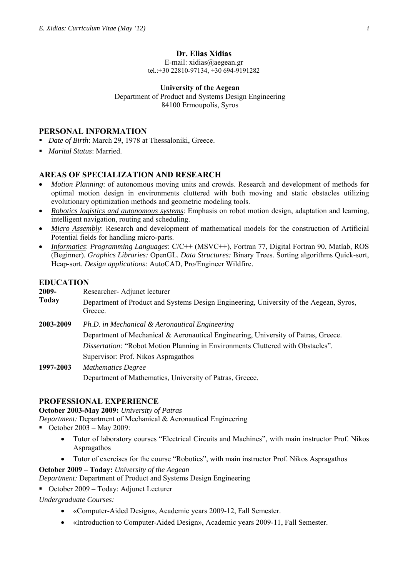### **Dr. Elias Xidias**

E-mail: xidias@aegean.gr tel.:+30 22810-97134, +30 694-9191282

**University of the Aegean**  Department of Product and Systems Design Engineering 84100 Ermoupolis, Syros

# **PERSONAL INFORMATION**

- *Date of Birth*: March 29, 1978 at Thessaloniki, Greece.
- *Marital Status*: Married.

# **AREAS OF SPECIALIZATION AND RESEARCH**

- *Motion Planning*: of autonomous moving units and crowds. Research and development of methods for optimal motion design in environments cluttered with both moving and static obstacles utilizing evolutionary optimization methods and geometric modeling tools.
- *Robotics logistics and autonomous systems*: Emphasis on robot motion design, adaptation and learning, intelligent navigation, routing and scheduling.
- *Micro Assembly*: Research and development of mathematical models for the construction of Artificial Potential fields for handling micro-parts.
- *Informatics*: *Programming Languages*: C/C++ (MSVC++), Fortran 77, Digital Fortran 90, Matlab, ROS (Beginner). *Graphics Libraries:* OpenGL. *Data Structures:* Binary Trees. Sorting algorithms Quick-sort, Heap-sort. *Design applications:* AutoCAD, Pro/Engineer Wildfire.

# **EDUCATION**

| 2009-        | Researcher-Adjunct lecturer                                                                       |
|--------------|---------------------------------------------------------------------------------------------------|
| <b>Today</b> | Department of Product and Systems Design Engineering, University of the Aegean, Syros,<br>Greece. |
| 2003-2009    | Ph.D. in Mechanical & Aeronautical Engineering                                                    |
|              | Department of Mechanical & Aeronautical Engineering, University of Patras, Greece.                |
|              | Dissertation: "Robot Motion Planning in Environments Cluttered with Obstacles".                   |
|              | Supervisor: Prof. Nikos Aspragathos                                                               |
| 1997-2003    | <b>Mathematics Degree</b>                                                                         |
|              | Department of Mathematics, University of Patras, Greece.                                          |

# **PROFESSIONAL EXPERIENCE**

### **October 2003-May 2009:** *University of Patras*

*Department:* Department of Mechanical & Aeronautical Engineering

- October  $2003 \text{Mav } 2009$ :
	- Tutor of laboratory courses "Electrical Circuits and Machines", with main instructor Prof. Nikos Aspragathos
	- Tutor of exercises for the course "Robotics", with main instructor Prof. Nikos Aspragathos

### **October 2009 – Today:** *University of the Aegean*

*Department:* Department of Product and Systems Design Engineering

October 2009 – Today: Adjunct Lecturer

*Undergraduate Courses:*

- «Computer-Aided Design», Academic years 2009-12, Fall Semester.
- «Introduction to Computer-Aided Design», Academic years 2009-11, Fall Semester.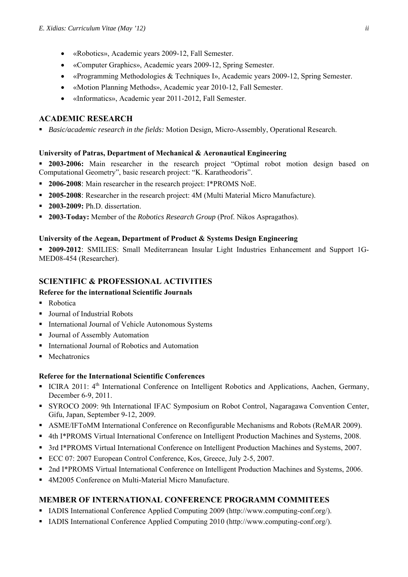- «Robotics», Academic years 2009-12, Fall Semester.
- «Computer Graphics», Academic years 2009-12, Spring Semester.
- «Programming Methodologies & Techniques I», Academic years 2009-12, Spring Semester.
- «Motion Planning Methods», Academic year 2010-12, Fall Semester.
- «Informatics», Academic year 2011-2012, Fall Semester.

# **ACADEMIC RESEARCH**

*Basic/academic research in the fields:* Motion Design*,* Micro-Assembly, Operational Research.

# **University of Patras, Department of Mechanical & Aeronautical Engineering**

- **2003-2006:** Main researcher in the research project "Optimal robot motion design based on Computational Geometry", basic research project: "K. Karatheodoris".
- **2006-2008**: Main researcher in the research project: I\*PROMS NoE.
- **2005-2008**: Researcher in the research project: 4Μ (Multi Material Micro Manufacture).
- **2003-2009:** Ph.D. dissertation.
- **2003-Today:** Member of the *Robotics Research Group* (Prof. Nikos Aspragathos).

# **University of the Aegean, Department of Product & Systems Design Engineering**

 **2009-2012**: SMILIES: Small Mediterranean Insular Light Industries Enhancement and Support 1G-MED08-454 (Researcher).

# **SCIENTIFIC & PROFESSIONAL ACTIVITIES**

# **Referee for the international Scientific Journals**

- Robotica
- Journal of Industrial Robots
- **International Journal of Vehicle Autonomous Systems**
- Journal of Assembly Automation
- International Journal of Robotics and Automation
- **Mechatronics**

### **Referee for the International Scientific Conferences**

- ICIRA 2011:  $4<sup>th</sup>$  International Conference on Intelligent Robotics and Applications, Aachen, Germany, December 6-9, 2011.
- SYROCO 2009: 9th International IFAC Symposium on Robot Control, Nagaragawa Convention Center, Gifu, Japan, September 9-12, 2009.
- ASME/IFToMM International Conference on Reconfigurable Mechanisms and Robots (ReMAR 2009).
- 4th I\*PROMS Virtual International Conference on Intelligent Production Machines and Systems, 2008.
- 3rd I\*PROMS Virtual International Conference on Intelligent Production Machines and Systems, 2007.
- ECC 07: 2007 European Control Conference, Kos, Greece, July 2-5, 2007.
- <sup>2</sup> 2nd I\*PROMS Virtual International Conference on Intelligent Production Machines and Systems, 2006.
- 4M2005 Conference on Multi-Material Micro Manufacture.

# **MEMBER OF INTERNATIONAL CONFERENCE PROGRAMM COMMITEES**

- IADIS International Conference Applied Computing 2009 (http://www.computing-conf.org/).
- IADIS International Conference Applied Computing 2010 (http://www.computing-conf.org/).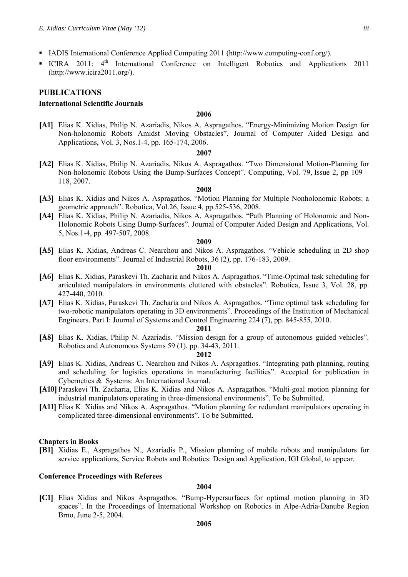- IADIS International Conference Applied Computing 2011 (http://www.computing-conf.org/).
- ICIRA 2011: 4<sup>th</sup> International Conference on Intelligent Robotics and Applications 2011 (http://www.icira2011.org/).

### **PUBLICATIONS**

### **International Scientific Journals**

### **2006**

**[Α1]** Elias K. Xidias, Philip N. Azariadis, Nikos A. Aspragathos. "Energy-Minimizing Motion Design for Non-holonomic Robots Amidst Moving Obstacles". Journal of Computer Aided Design and Applications, Vol. 3, Nos.1-4, pp. 165-174, 2006.

#### **2007**

**[Α2]** Elias K. Xidias, Philip N. Azariadis, Nikos A. Aspragathos. "Two Dimensional Motion-Planning for Non-holonomic Robots Using the Bump-Surfaces Concept". Computing, Vol. 79, Issue 2, pp 109 – 118, 2007.

#### **2008**

- **[Α3]** Elias K. Xidias and Nikos A. Aspragathos. "Motion Planning for Multiple Nonholonomic Robots: a geometric approach". Robotica, Vol.26, Issue 4, pp.525-536, 2008.
- **[Α4]** Elias K. Xidias, Philip N. Azariadis, Nikos A. Aspragathos. "Path Planning of Holonomic and Non-Holonomic Robots Using Bump-Surfaces". Journal of Computer Aided Design and Applications, Vol. 5, Nos.1-4, pp. 497-507, 2008.

#### **2009**

**[Α5]** Elias K. Xidias, Andreas C. Nearchou and Nikos A. Aspragathos. "Vehicle scheduling in 2D shop floor environments". Journal of Industrial Robots, 36 (2), pp. 176-183, 2009.

#### **2010**

- **[Α6]** Elias K. Xidias, Paraskevi Th. Zacharia and Nikos A. Aspragathos. "Time-Optimal task scheduling for articulated manipulators in environments cluttered with obstacles". Robotica, Issue 3, Vol. 28, pp. 427-440, 2010.
- **[Α7]** Elias K. Xidias, Paraskevi Th. Zacharia and Nikos A. Aspragathos. "Time optimal task scheduling for two-robotic manipulators operating in 3D environments". Proceedings of the Institution of Mechanical Engineers. Part I: Journal of Systems and Control Engineering 224 (7), pp. 845-855, 2010.

#### **2011**

**[Α8]** Elias K. Xidias, Philip N. Azariadis. "Mission design for a group of autonomous guided vehicles". Robotics and Autonomous Systems 59 (1), pp. 34-43, 2011.

#### **2012**

- **[Α9]** Elias K. Xidias, Andreas C. Nearchou and Nikos A. Aspragathos. "Integrating path planning, routing and scheduling for logistics operations in manufacturing facilities". Accepted for publication in Cybernetics & Systems: An International Journal.
- **[Α10]**Paraskevi Th. Zacharia, Elias K. Xidias and Nikos A. Aspragathos. "Multi-goal motion planning for industrial manipulators operating in three-dimensional environments". To be Submitted.
- **[Α11]** Elias K. Xidias and Nikos A. Aspragathos. "Motion planning for redundant manipulators operating in complicated three-dimensional environments". To be Submitted.

#### **Chapters in Books**

**[B1]** Xidias E., Aspragathos N., Azariadis P., Mission planning of mobile robots and manipulators for service applications, Service Robots and Robotics: Design and Application, IGI Global, to appear.

#### **Conference Proceedings with Referees**

#### **2004**

**[C1]** Elias Xidias and Nikos Aspragathos. "Bump-Hypersurfaces for optimal motion planning in 3D spaces". In the Proceedings of International Workshop on Robotics in Alpe-Adria-Danube Region Brno, June 2-5, 2004.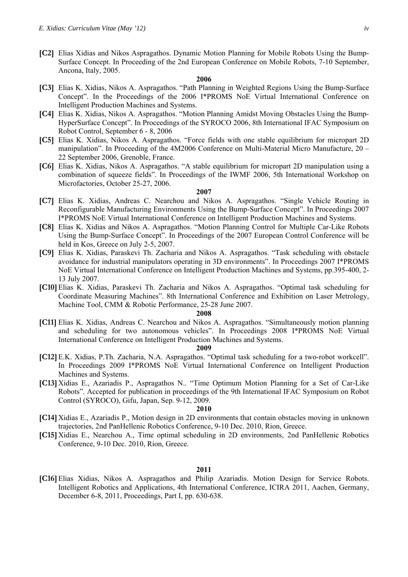**[C2]** Elias Xidias and Nikos Aspragathos. Dynamic Motion Planning for Mobile Robots Using the Bump-Surface Concept. In Proceeding of the 2nd European Conference on Mobile Robots, 7-10 September, Ancona, Italy, 2005.

### **2006**

- **[C3]** Elias K. Xidias, Nikos A. Aspragathos. "Path Planning in Weighted Regions Using the Bump-Surface Concept". In the Proceedings of the 2006 I\*PROMS NoE Virtual International Conference on Intelligent Production Machines and Systems.
- **[C4]** Elias K. Xidias, Nikos A. Aspragathos. "Motion Planning Amidst Moving Obstacles Using the Bump-HyperSurface Concept". In Proceedings of the SYROCO 2006, 8th International IFAC Symposium on Robot Control, September 6 - 8, 2006
- **[C5]** Elias K. Xidias, Nikos A. Aspragathos. "Force fields with one stable equilibrium for micropart 2D manipulation". In Proceeding of the 4M2006 Conference on Multi-Material Micro Manufacture, 20 – 22 September 2006, Grenoble, France.
- **[C6]** Elias K. Xidias, Nikos A. Aspragathos. "A stable equilibrium for micropart 2D manipulation using a combination of squeeze fields". In Proceedings of the IWMF 2006, 5th International Workshop on Microfactories, October 25-27, 2006.

#### **2007**

- **[C7]** Elias K. Xidias, Andreas C. Nearchou and Nikos A. Aspragathos. "Single Vehicle Routing in Reconfigurable Manufacturing Environments Using the Bump-Surface Concept". In Proceedings 2007 I\*PROMS NoE Virtual International Conference on Intelligent Production Machines and Systems.
- **[C8]** Elias K. Xidias and Nikos A. Aspragathos. "Motion Planning Control for Multiple Car-Like Robots Using the Bump-Surface Concept". In Proceedings of the 2007 European Control Conference will be held in Kos, Greece on July 2-5, 2007.
- **[C9]** Elias K. Xidias, Paraskevi Th. Zacharia and Nikos A. Aspragathos. "Task scheduling with obstacle avoidance for industrial manipulators operating in 3D environments". In Proceedings 2007 I\*PROMS NoE Virtual International Conference on Intelligent Production Machines and Systems, pp.395-400, 2- 13 July 2007.
- **[C10]**Elias K. Xidias, Paraskevi Th. Zacharia and Nikos A. Aspragathos. "Optimal task scheduling for Coordinate Measuring Machines". 8th International Conference and Exhibition on Laser Metrology, Machine Tool, CMM & Robotic Performance, 25-28 June 2007.

#### **2008**

**[C11]** Elias K. Xidias, Andreas C. Nearchou and Nikos A. Aspragathos. "Simultaneously motion planning and scheduling for two autonomous vehicles". In Proceedings 2008 I\*PROMS NoE Virtual International Conference on Intelligent Production Machines and Systems.

#### **2009**

- **[C12]**E.K. Xidias, P.Th. Zacharia, N.A. Aspragathos. "Optimal task scheduling for a two-robot workcell". In Proceedings 2009 I\*PROMS NoE Virtual International Conference on Intelligent Production Machines and Systems.
- **[C13]**Xidias E., Azariadis P., Aspragathos N.. "Time Optimum Motion Planning for a Set of Car-Like Robots". Accepted for publication in proceedings of the 9th International IFAC Symposium on Robot Control (SYROCO), Gifu, Japan, Sep. 9-12, 2009.

#### **2010**

- **[C14]**Xidias E., Azariadis P., Motion design in 2D environments that contain obstacles moving in unknown trajectories, 2nd PanHellenic Robotics Conference, 9-10 Dec. 2010, Rion, Greece.
- **[C15]**Xidias E., Nearchou Α., Time optimal scheduling in 2D environments, 2nd PanHellenic Robotics Conference, 9-10 Dec. 2010, Rion, Greece.

#### **2011**

**[C16]**Elias Xidias, Nikos A. Aspragathos and Philip Azariadis. Motion Design for Service Robots. Intelligent Robotics and Applications, 4th International Conference, ICIRA 2011, Aachen, Germany, December 6-8, 2011, Proceedings, Part I, pp. 630-638.